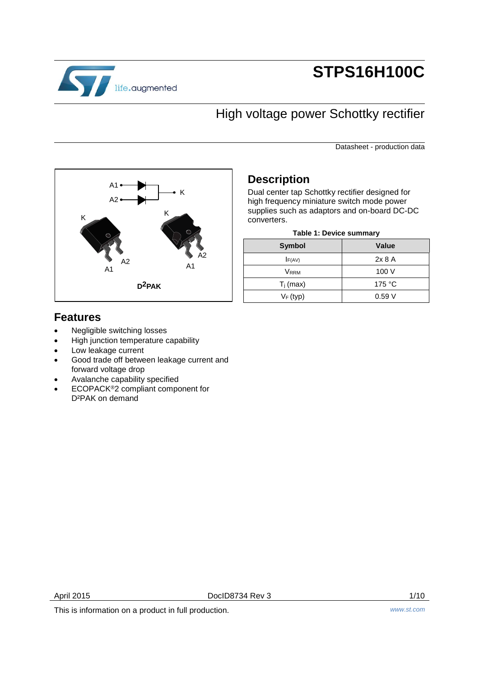

# **STPS16H100C**

## High voltage power Schottky rectifier

Datasheet - production data



### **Description**

Dual center tap Schottky rectifier designed for high frequency miniature switch mode power supplies such as adaptors and on-board DC-DC converters.

| Table 1: Device summary |
|-------------------------|
|-------------------------|

| <b>Symbol</b>           | <b>Value</b> |
|-------------------------|--------------|
| IF(AV)                  | 2x8A         |
| <b>V</b> <sub>RRM</sub> | 100 V        |
| $T_j$ (max)             | 175 °C       |
| $V_F$ (typ)             | 0.59V        |
|                         |              |

### **Features**

- Negligible switching losses
- High junction temperature capability
- Low leakage current
- Good trade off between leakage current and forward voltage drop
- Avalanche capability specified
- ECOPACK<sup>®</sup>2 compliant component for D²PAK on demand

April 2015 **Doclb8734 Rev 3** 2/10

This is information on a product in full production. *www.st.com*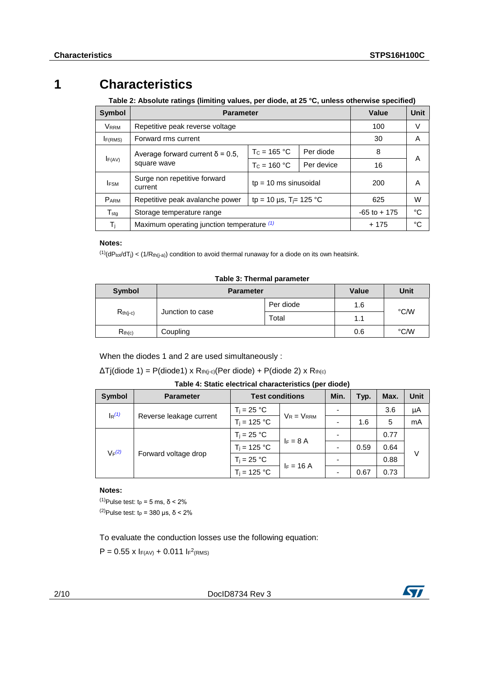### **1 Characteristics**

<span id="page-1-3"></span>**Table 2: Absolute ratings (limiting values, per diode, at 25 °C, unless otherwise specified)**

| Symbol                | <b>Parameter</b>                           | Value                               | Unit      |                 |    |
|-----------------------|--------------------------------------------|-------------------------------------|-----------|-----------------|----|
| <b>VRRM</b>           | Repetitive peak reverse voltage            |                                     |           | 100             | V  |
| I <sub>F(RMS)</sub>   | Forward rms current                        |                                     |           | 30              | A  |
|                       | Average forward current $\delta$ = 0.5,    | $T_c = 165 °C$                      | Per diode | 8               |    |
| IF(AV)<br>square wave | $T_c = 160 °C$                             | Per device                          | 16        | A               |    |
| <b>IFSM</b>           | Surge non repetitive forward<br>current    | $tp = 10$ ms sinusoidal             |           | 200             | A  |
| $P_{ARM}$             | Repetitive peak avalanche power            | tp = 10 µs, T <sub>i</sub> = 125 °C | 625       | W               |    |
| $T_{\sf stq}$         | Storage temperature range                  |                                     |           | $-65$ to $+175$ | °C |
| $T_{j}$               | Maximum operating junction temperature (1) |                                     |           | $+175$          | °C |

### **Notes:**

<span id="page-1-0"></span> $^{(1)}$ (dPtot/dTj) < (1/Rth(j-a)) condition to avoid thermal runaway for a diode on its own heatsink.

#### **Table 3: Thermal parameter**

| Symbol                            | <b>Parameter</b> | <b>Value</b> | Unit |      |
|-----------------------------------|------------------|--------------|------|------|
|                                   |                  | Per diode    | 1.6  | °C/W |
| Junction to case<br>$R_{th(j-c)}$ |                  | Total        | 1.1  |      |
| R <sub>th(c)</sub>                | Coupling         |              | 0.6  | °C/W |

When the diodes 1 and 2 are used simultaneously :

 $\Delta T$ j(diode 1) = P(diode1) x R<sub>th(j-c)</sub>(Per diode) + P(diode 2) x R<sub>th(c)</sub>

### **Table 4: Static electrical characteristics (per diode)**

| Symbol                                                     | <b>Parameter</b> | <b>Test conditions</b> |            | Min. | Typ. | Max. | <b>Unit</b> |
|------------------------------------------------------------|------------------|------------------------|------------|------|------|------|-------------|
| $\mathsf{I}_{\mathsf{R}}^{(1)}$<br>Reverse leakage current |                  | $T_i = 25 °C$          |            |      |      | 3.6  | μA          |
|                                                            | $T_i = 125 °C$   | $V_R = V_{RRM}$        |            | 1.6  | 5    | mA   |             |
| $V_F(2)$<br>Forward voltage drop                           | $T_i = 25 °C$    | $I_F = 8 A$            |            |      | 0.77 |      |             |
|                                                            |                  | $T_i = 125 °C$         |            |      | 0.59 | 0.64 |             |
|                                                            |                  | $T_i = 25 °C$          | $F = 16 A$ |      |      | 0.88 | V           |
|                                                            |                  | $T_i = 125 °C$         |            |      | 0.67 | 0.73 |             |

#### **Notes:**

<span id="page-1-2"></span><span id="page-1-1"></span> $(1)$ Pulse test: t<sub>p</sub> = 5 ms, δ < 2% <sup>(2)</sup>Pulse test:  $t<sub>p</sub>$  = 380 μs, δ < 2%

To evaluate the conduction losses use the following equation:

 $P = 0.55$  x  $I_{F(AV)} + 0.011$   $I_{F<sup>2</sup>(RMS)}$ 

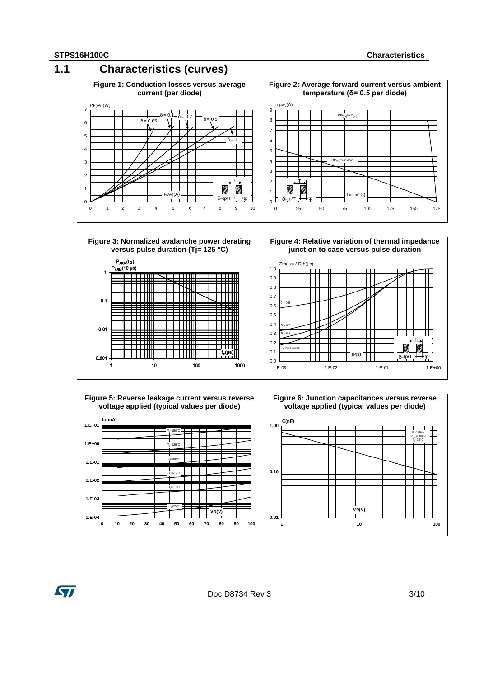







**ST**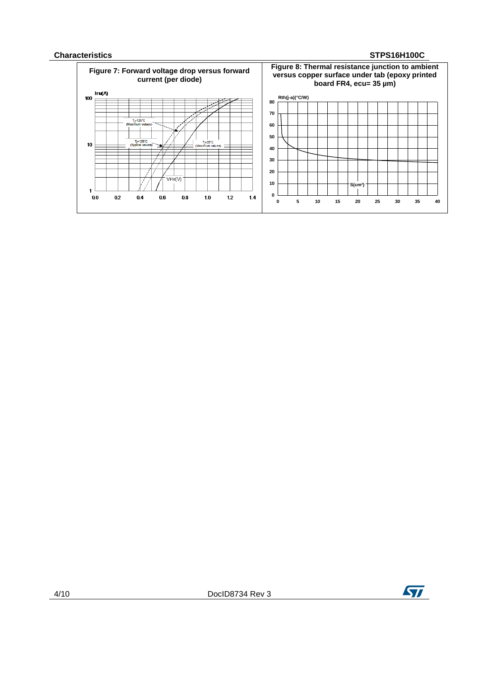#### **Characteristics STPS16H100C**



4/10 DocID8734 Rev 3

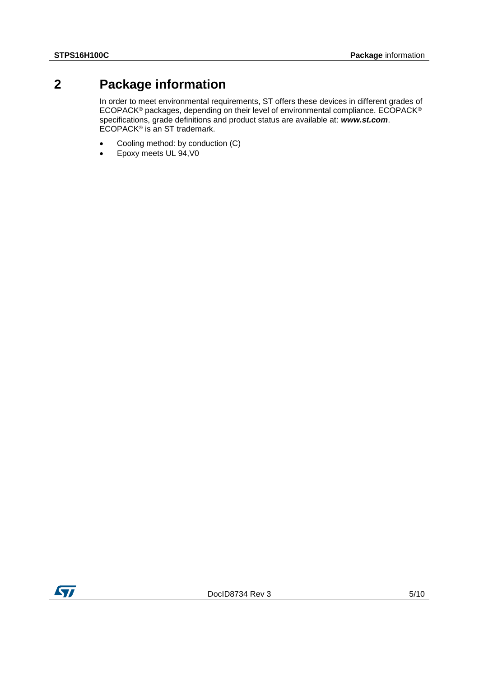### **2 Package information**

<span id="page-4-0"></span>In order to meet environmental requirements, ST offers these devices in different grades of ECOPACK® packages, depending on their level of environmental compliance. ECOPACK® specifications, grade definitions and product status are available at: *www.st.com*. ECOPACK® is an ST trademark.

- Cooling method: by conduction (C)
- Epoxy meets UL 94, V0

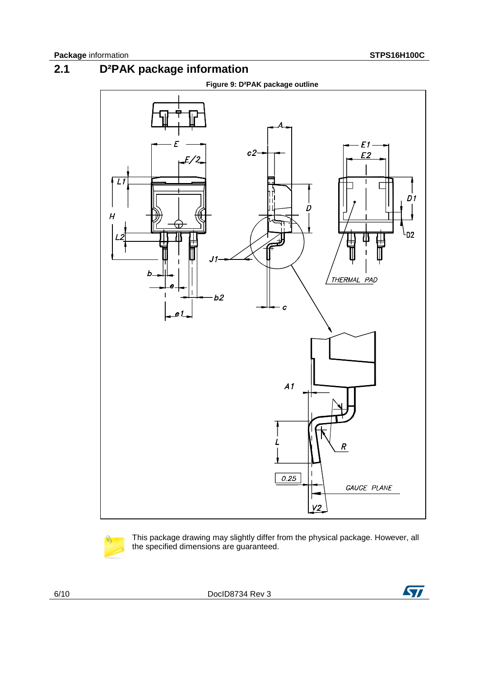### **2.1 D²PAK package information**





This package drawing may slightly differ from the physical package. However, all the specified dimensions are guaranteed.

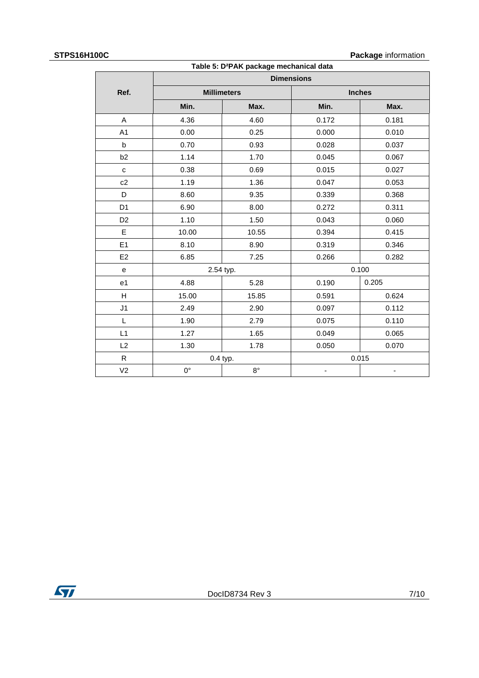#### **STPS16H100C Package** information

| Table 5: D <sup>2</sup> PAK package mechanical data |                   |                    |               |                          |  |  |  |
|-----------------------------------------------------|-------------------|--------------------|---------------|--------------------------|--|--|--|
|                                                     | <b>Dimensions</b> |                    |               |                          |  |  |  |
| Ref.                                                |                   | <b>Millimeters</b> | <b>Inches</b> |                          |  |  |  |
|                                                     | Min.              | Max.               | Min.          | Max.                     |  |  |  |
| A                                                   | 4.36              | 4.60               | 0.172         | 0.181                    |  |  |  |
| A <sub>1</sub>                                      | 0.00              | 0.25               | 0.000         | 0.010                    |  |  |  |
| $\mathsf{b}$                                        | 0.70              | 0.93               | 0.028         | 0.037                    |  |  |  |
| b <sub>2</sub>                                      | 1.14              | 1.70               | 0.045         | 0.067                    |  |  |  |
| $\mathbf{C}$                                        | 0.38              | 0.69               | 0.015         | 0.027                    |  |  |  |
| c2                                                  | 1.19              | 1.36               | 0.047         | 0.053                    |  |  |  |
| D                                                   | 8.60              | 9.35               | 0.339         | 0.368                    |  |  |  |
| D <sub>1</sub>                                      | 6.90              | 8.00               | 0.272         | 0.311                    |  |  |  |
| D <sub>2</sub>                                      | 1.10              | 1.50               | 0.043         | 0.060                    |  |  |  |
| E                                                   | 10.00             | 10.55              | 0.394         | 0.415                    |  |  |  |
| E1                                                  | 8.10              | 8.90               | 0.319         | 0.346                    |  |  |  |
| E <sub>2</sub>                                      | 6.85              | 7.25               | 0.266         | 0.282                    |  |  |  |
| e                                                   |                   | 2.54 typ.          |               | 0.100                    |  |  |  |
| e <sub>1</sub>                                      | 4.88              | 5.28               | 0.190         | 0.205                    |  |  |  |
| H                                                   | 15.00             | 15.85              | 0.591         | 0.624                    |  |  |  |
| J <sub>1</sub>                                      | 2.49              | 2.90               | 0.097         | 0.112                    |  |  |  |
| Г                                                   | 1.90              | 2.79               | 0.075         | 0.110                    |  |  |  |
| L1                                                  | 1.27              | 1.65               | 0.049         | 0.065                    |  |  |  |
| L2                                                  | 1.30              | 1.78               | 0.050         | 0.070                    |  |  |  |
| $\mathsf{R}$                                        |                   | 0.4 typ.           |               | 0.015                    |  |  |  |
| V <sub>2</sub>                                      | $0^{\circ}$       | $8^{\circ}$        | -             | $\overline{\phantom{0}}$ |  |  |  |

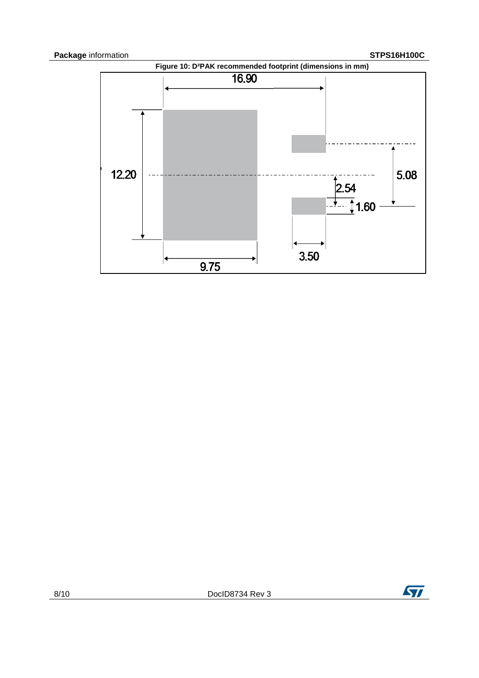

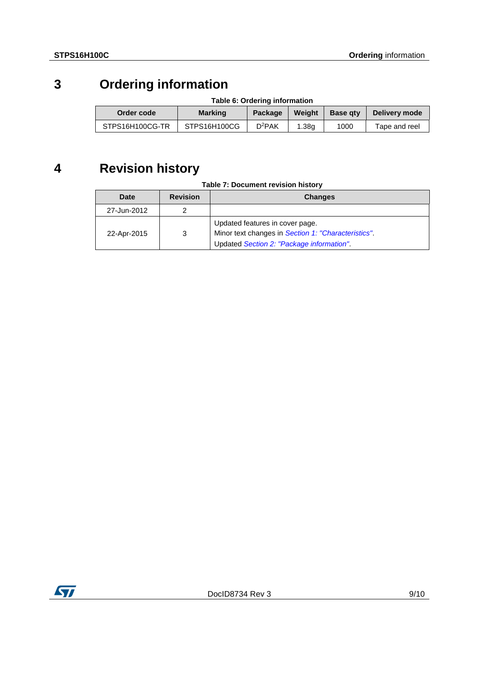## **3 Ordering information**

| Table 6: Ordering information |              |          |        |                 |               |
|-------------------------------|--------------|----------|--------|-----------------|---------------|
| Order code<br><b>Marking</b>  |              | Package  | Weight | <b>Base gtv</b> | Delivery mode |
| STPS16H100CG-TR               | STPS16H100CG | $D^2PAK$ | 1.38q  | 1000            | Tape and reel |

## **4 Revision history**

| Table 7: Document revision history |
|------------------------------------|
|------------------------------------|

| Date        | <b>Revision</b> | <b>Changes</b>                                                                                                                      |
|-------------|-----------------|-------------------------------------------------------------------------------------------------------------------------------------|
| 27-Jun-2012 |                 |                                                                                                                                     |
| 22-Apr-2015 | 3               | Updated features in cover page.<br>Minor text changes in Section 1: "Characteristics".<br>Updated Section 2: "Package information". |